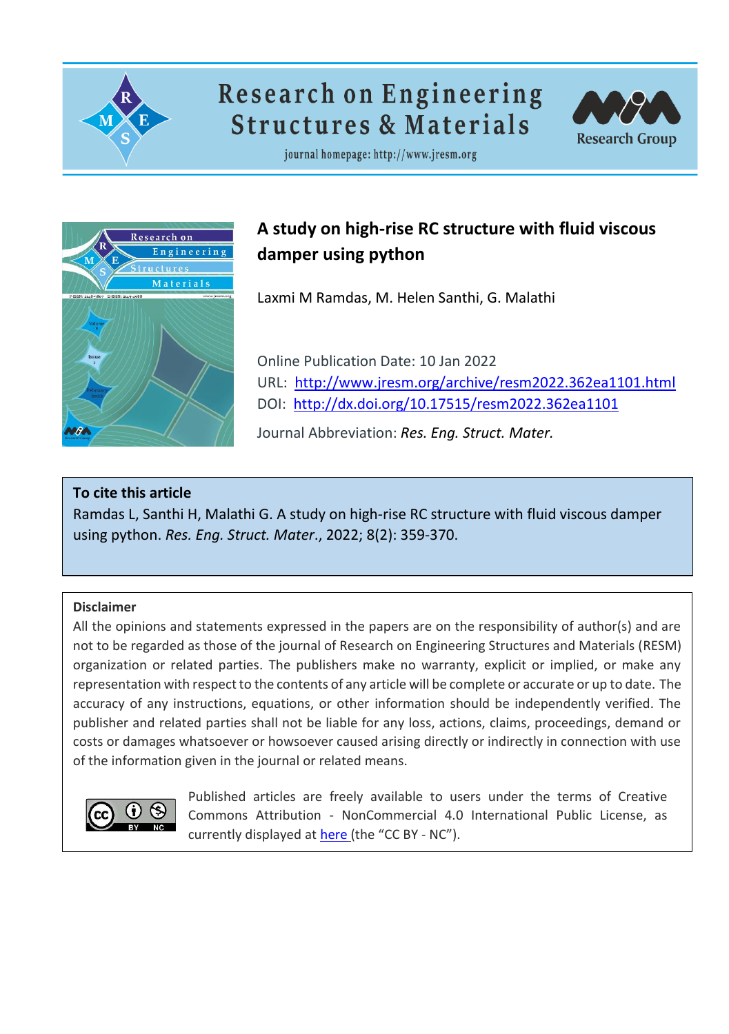

# **Research on Engineering Structures & Materials**



journal homepage: http://www.jresm.org



## **A study on high-rise RC structure with fluid viscous damper using python**

Laxmi M Ramdas, M. Helen Santhi, G. Malathi

Online Publication Date: 10 Jan 2022 URL: <http://www.jresm.org/archive/resm2022.362ea1101.html> DOI: <http://dx.doi.org/10.17515/resm2022.362ea1101>

Journal Abbreviation: *Res. Eng. Struct. Mater.*

## **To cite this article**

Ramdas L, Santhi H, Malathi G. A study on high-rise RC structure with fluid viscous damper using python. *Res. Eng. Struct. Mater*., 2022; 8(2): 359-370.

## **Disclaimer**

All the opinions and statements expressed in the papers are on the responsibility of author(s) and are not to be regarded as those of the journal of Research on Engineering Structures and Materials (RESM) organization or related parties. The publishers make no warranty, explicit or implied, or make any representation with respect to the contents of any article will be complete or accurate or up to date. The accuracy of any instructions, equations, or other information should be independently verified. The publisher and related parties shall not be liable for any loss, actions, claims, proceedings, demand or costs or damages whatsoever or howsoever caused arising directly or indirectly in connection with use of the information given in the journal or related means.



Published articles are freely available to users under the terms of Creative Commons Attribution ‐ NonCommercial 4.0 International Public License, as currently displayed at [here](https://creativecommons.org/licenses/by-nc/4.0/legalcode) (the "CC BY - NC").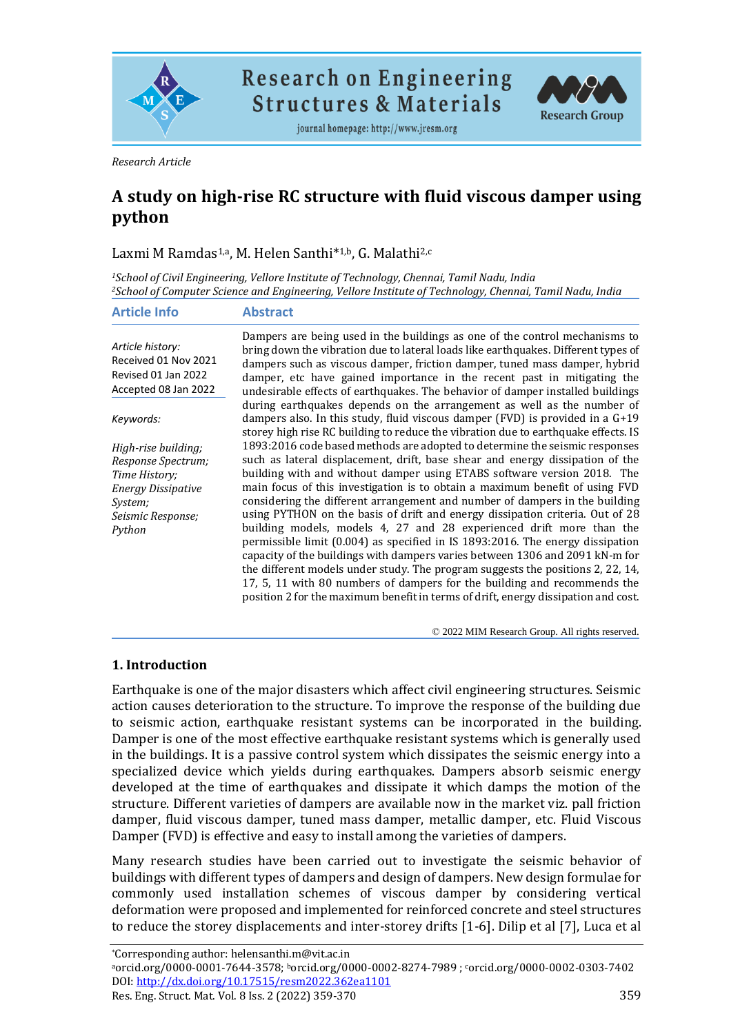

**Research on Engineering Structures & Materials** 

journal homepage: http://www.jresm.org



*Research Article*

## **A study on high-rise RC structure with fluid viscous damper using python**

Laxmi M Ramdas1,a, M. Helen Santhi\* 1,b, G. Malathi2,c

*<sup>1</sup>School of Civil Engineering, Vellore Institute of Technology, Chennai, Tamil Nadu, India <sup>2</sup>School of Computer Science and Engineering, Vellore Institute of Technology, Chennai, Tamil Nadu, India*

| <b>Article Info</b>                                                                                                               | <b>Abstract</b>                                                                                                                                                                                                                                                                                                                                                                                                                                                                                                                                                                                                                                                                                                                                                                                                                                                                                                                                                                          |
|-----------------------------------------------------------------------------------------------------------------------------------|------------------------------------------------------------------------------------------------------------------------------------------------------------------------------------------------------------------------------------------------------------------------------------------------------------------------------------------------------------------------------------------------------------------------------------------------------------------------------------------------------------------------------------------------------------------------------------------------------------------------------------------------------------------------------------------------------------------------------------------------------------------------------------------------------------------------------------------------------------------------------------------------------------------------------------------------------------------------------------------|
| Article history:<br>Received 01 Nov 2021<br>Revised 01 Jan 2022<br>Accepted 08 Jan 2022                                           | Dampers are being used in the buildings as one of the control mechanisms to<br>bring down the vibration due to lateral loads like earthquakes. Different types of<br>dampers such as viscous damper, friction damper, tuned mass damper, hybrid<br>damper, etc have gained importance in the recent past in mitigating the<br>undesirable effects of earthquakes. The behavior of damper installed buildings                                                                                                                                                                                                                                                                                                                                                                                                                                                                                                                                                                             |
| Keywords:                                                                                                                         | during earthquakes depends on the arrangement as well as the number of<br>dampers also. In this study, fluid viscous damper $(FVD)$ is provided in a $G+19$<br>storey high rise RC building to reduce the vibration due to earthquake effects. IS                                                                                                                                                                                                                                                                                                                                                                                                                                                                                                                                                                                                                                                                                                                                        |
| High-rise building;<br>Response Spectrum;<br>Time History;<br><b>Energy Dissipative</b><br>System;<br>Seismic Response;<br>Python | 1893:2016 code based methods are adopted to determine the seismic responses<br>such as lateral displacement, drift, base shear and energy dissipation of the<br>building with and without damper using ETABS software version 2018. The<br>main focus of this investigation is to obtain a maximum benefit of using FVD<br>considering the different arrangement and number of dampers in the building<br>using PYTHON on the basis of drift and energy dissipation criteria. Out of 28<br>building models, models 4, 27 and 28 experienced drift more than the<br>permissible limit $(0.004)$ as specified in IS 1893:2016. The energy dissipation<br>capacity of the buildings with dampers varies between 1306 and 2091 kN-m for<br>the different models under study. The program suggests the positions 2, 22, 14,<br>17, 5, 11 with 80 numbers of dampers for the building and recommends the<br>position 2 for the maximum benefit in terms of drift, energy dissipation and cost. |

© 2022 MIM Research Group. All rights reserved.

## **1. Introduction**

Earthquake is one of the major disasters which affect civil engineering structures. Seismic action causes deterioration to the structure. To improve the response of the building due to seismic action, earthquake resistant systems can be incorporated in the building. Damper is one of the most effective earthquake resistant systems which is generally used in the buildings. It is a passive control system which dissipates the seismic energy into a specialized device which yields during earthquakes. Dampers absorb seismic energy developed at the time of earthquakes and dissipate it which damps the motion of the structure. Different varieties of dampers are available now in the market viz. pall friction damper, fluid viscous damper, tuned mass damper, metallic damper, etc. Fluid Viscous Damper (FVD) is effective and easy to install among the varieties of dampers.

Many research studies have been carried out to investigate the seismic behavior of buildings with different types of dampers and design of dampers. New design formulae for commonly used installation schemes of viscous damper by considering vertical deformation were proposed and implemented for reinforced concrete and steel structures to reduce the storey displacements and inter-storey drifts [1-6]. Dilip et al [7], Luca et al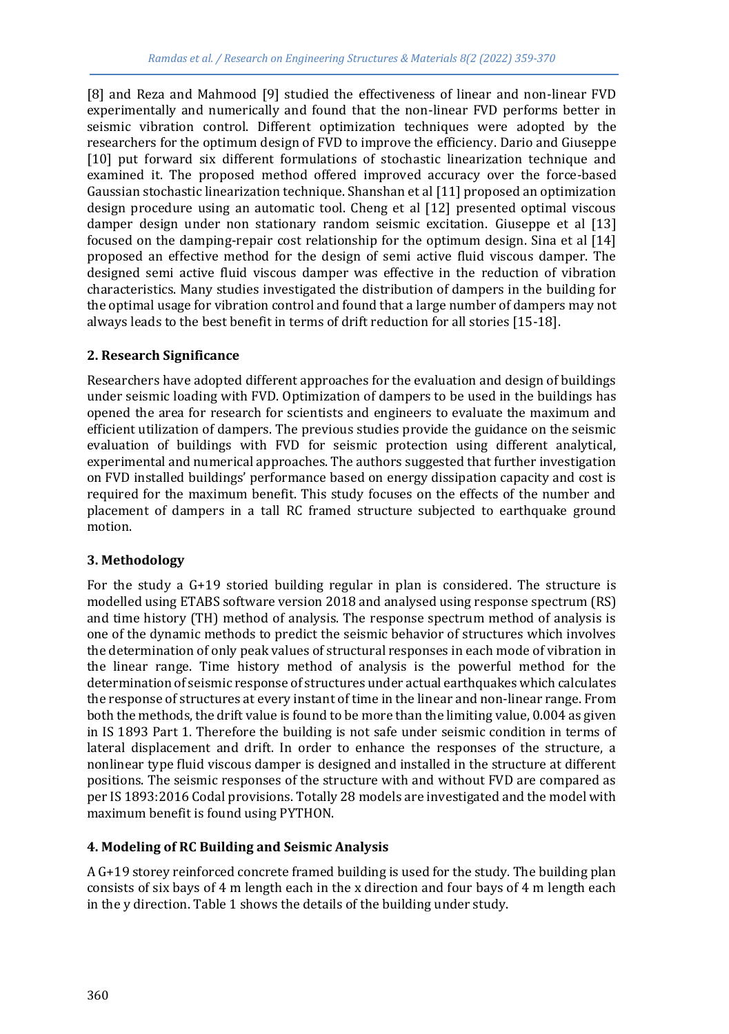[8] and Reza and Mahmood [9] studied the effectiveness of linear and non-linear FVD experimentally and numerically and found that the non-linear FVD performs better in seismic vibration control. Different optimization techniques were adopted by the researchers for the optimum design of FVD to improve the efficiency. Dario and Giuseppe [10] put forward six different formulations of stochastic linearization technique and examined it. The proposed method offered improved accuracy over the force-based Gaussian stochastic linearization technique. Shanshan et al [11] proposed an optimization design procedure using an automatic tool. Cheng et al [12] presented optimal viscous damper design under non stationary random seismic excitation. Giuseppe et al [13] focused on the damping-repair cost relationship for the optimum design. Sina et al [14] proposed an effective method for the design of semi active fluid viscous damper. The designed semi active fluid viscous damper was effective in the reduction of vibration characteristics. Many studies investigated the distribution of dampers in the building for the optimal usage for vibration control and found that a large number of dampers may not always leads to the best benefit in terms of drift reduction for all stories [15-18].

## **2. Research Significance**

Researchers have adopted different approaches for the evaluation and design of buildings under seismic loading with FVD. Optimization of dampers to be used in the buildings has opened the area for research for scientists and engineers to evaluate the maximum and efficient utilization of dampers. The previous studies provide the guidance on the seismic evaluation of buildings with FVD for seismic protection using different analytical, experimental and numerical approaches. The authors suggested that further investigation on FVD installed buildings' performance based on energy dissipation capacity and cost is required for the maximum benefit. This study focuses on the effects of the number and placement of dampers in a tall RC framed structure subjected to earthquake ground motion.

## **3. Methodology**

For the study a G+19 storied building regular in plan is considered. The structure is modelled using ETABS software version 2018 and analysed using response spectrum (RS) and time history (TH) method of analysis. The response spectrum method of analysis is one of the dynamic methods to predict the seismic behavior of structures which involves the determination of only peak values of structural responses in each mode of vibration in the linear range. Time history method of analysis is the powerful method for the determination of seismic response of structures under actual earthquakes which calculates the response of structures at every instant of time in the linear and non-linear range. From both the methods, the drift value is found to be more than the limiting value, 0.004 as given in IS 1893 Part 1. Therefore the building is not safe under seismic condition in terms of lateral displacement and drift. In order to enhance the responses of the structure, a nonlinear type fluid viscous damper is designed and installed in the structure at different positions. The seismic responses of the structure with and without FVD are compared as per IS 1893:2016 Codal provisions. Totally 28 models are investigated and the model with maximum benefit is found using PYTHON.

## **4. Modeling of RC Building and Seismic Analysis**

A G+19 storey reinforced concrete framed building is used for the study. The building plan consists of six bays of 4 m length each in the x direction and four bays of 4 m length each in the y direction. Table 1 shows the details of the building under study.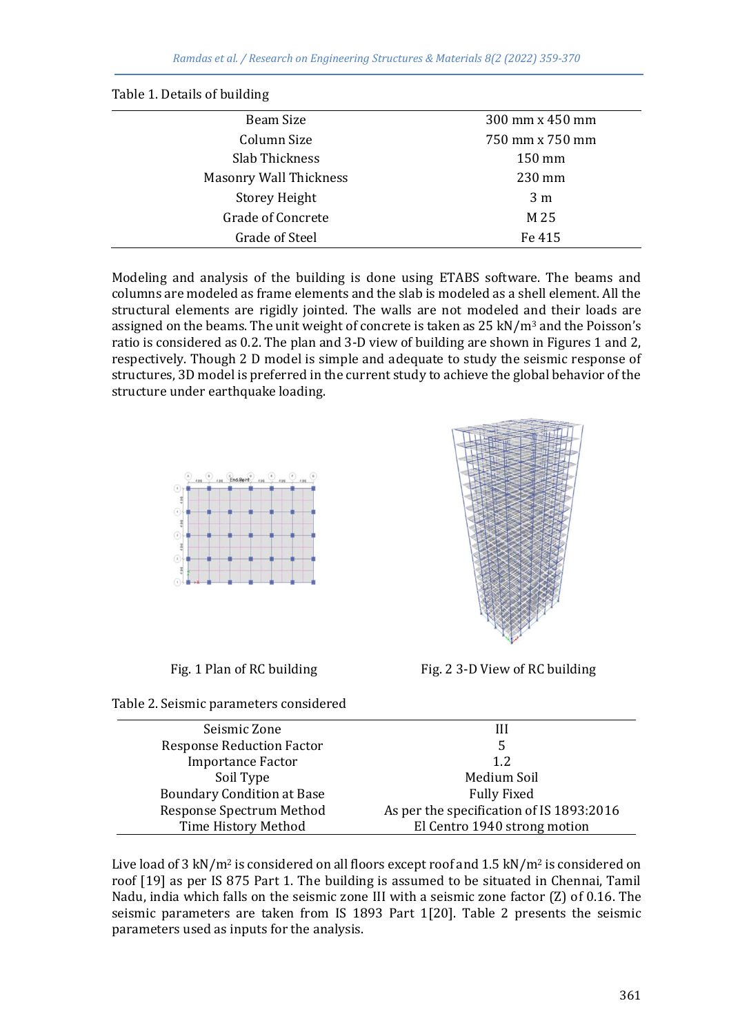| Beam Size              | 300 mm x 450 mm  |
|------------------------|------------------|
| Column Size            | 750 mm x 750 mm  |
| Slab Thickness         | $150 \text{ mm}$ |
| Masonry Wall Thickness | 230 mm           |
| <b>Storey Height</b>   | 3 <sub>m</sub>   |
| Grade of Concrete      | M 25             |
| Grade of Steel         | Fe 415           |

Modeling and analysis of the building is done using ETABS software. The beams and columns are modeled as frame elements and the slab is modeled as a shell element. All the structural elements are rigidly jointed. The walls are not modeled and their loads are assigned on the beams. The unit weight of concrete is taken as  $25 \text{ kN/m}^3$  and the Poisson's ratio is considered as 0.2. The plan and 3-D view of building are shown in Figures 1 and 2, respectively. Though 2 D model is simple and adequate to study the seismic response of structures, 3D model is preferred in the current study to achieve the global behavior of the structure under earthquake loading.



Table 1. Details of building





Fig. 1 Plan of RC building Fig. 2 3-D View of RC building

| Seismic Zone                      | Ш                                        |
|-----------------------------------|------------------------------------------|
| <b>Response Reduction Factor</b>  | 5                                        |
| <b>Importance Factor</b>          | 1.2                                      |
| Soil Type                         | Medium Soil                              |
| <b>Boundary Condition at Base</b> | <b>Fully Fixed</b>                       |
| Response Spectrum Method          | As per the specification of IS 1893:2016 |
| Time History Method               | El Centro 1940 strong motion             |

Live load of 3 kN/m<sup>2</sup> is considered on all floors except roof and 1.5 kN/m<sup>2</sup> is considered on roof [19] as per IS 875 Part 1. The building is assumed to be situated in Chennai, Tamil Nadu, india which falls on the seismic zone III with a seismic zone factor (Z) of 0.16. The seismic parameters are taken from IS 1893 Part 1[20]. Table 2 presents the seismic parameters used as inputs for the analysis.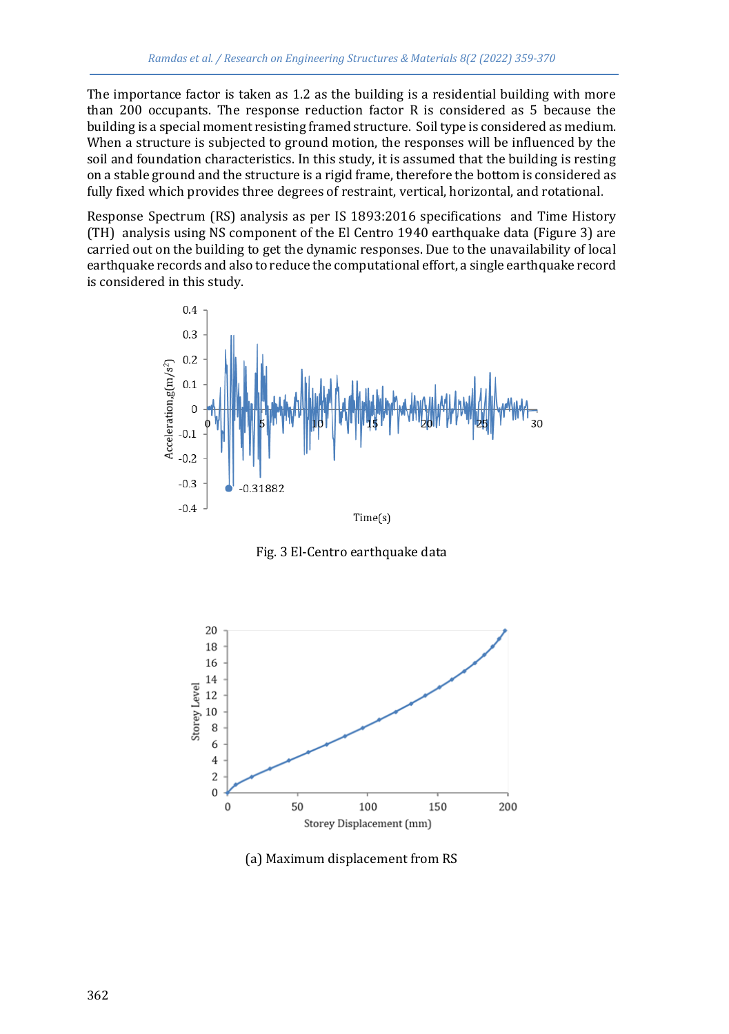The importance factor is taken as 1.2 as the building is a residential building with more than 200 occupants. The response reduction factor R is considered as 5 because the building is a special moment resisting framed structure. Soil type is considered as medium. When a structure is subjected to ground motion, the responses will be influenced by the soil and foundation characteristics. In this study, it is assumed that the building is resting on a stable ground and the structure is a rigid frame, therefore the bottom is considered as fully fixed which provides three degrees of restraint, vertical, horizontal, and rotational.

Response Spectrum (RS) analysis as per IS 1893:2016 specifications and Time History (TH) analysis using NS component of the El Centro 1940 earthquake data (Figure 3) are carried out on the building to get the dynamic responses. Due to the unavailability of local earthquake records and also to reduce the computational effort, a single earthquake record is considered in this study.



Fig. 3 El-Centro earthquake data



(a) Maximum displacement from RS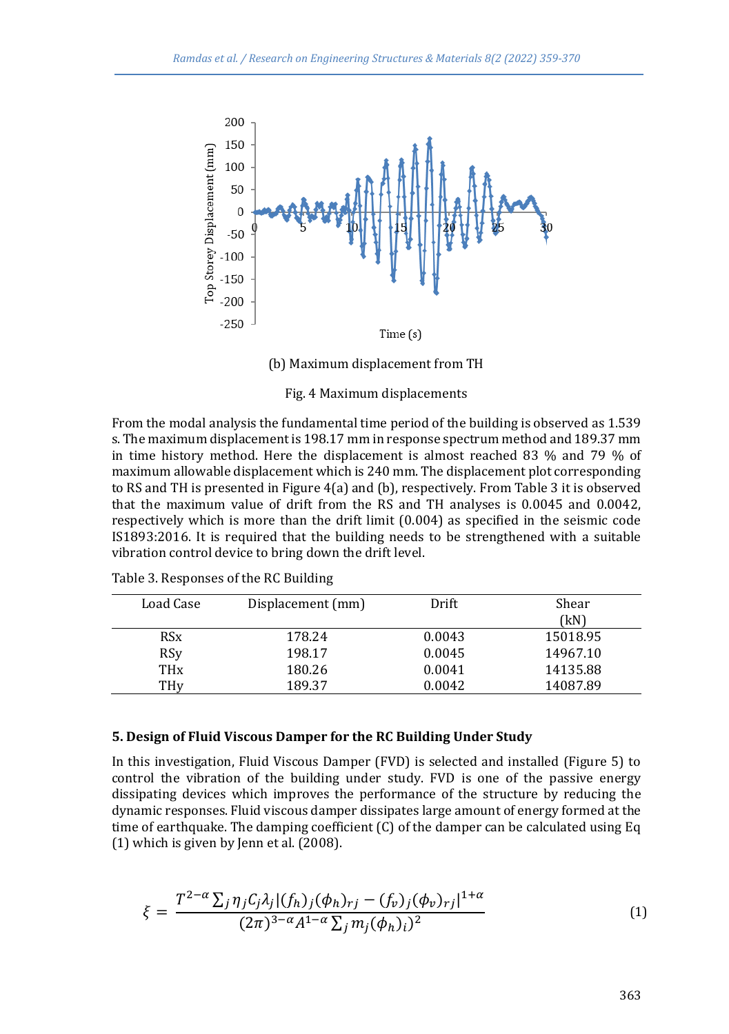

(b) Maximum displacement from TH

Fig. 4 Maximum displacements

From the modal analysis the fundamental time period of the building is observed as 1.539 s. The maximum displacement is 198.17 mm in response spectrum method and 189.37 mm in time history method. Here the displacement is almost reached 83 % and 79 % of maximum allowable displacement which is 240 mm. The displacement plot corresponding to RS and TH is presented in Figure 4(a) and (b), respectively. From Table 3 it is observed that the maximum value of drift from the RS and TH analyses is 0.0045 and 0.0042, respectively which is more than the drift limit (0.004) as specified in the seismic code IS1893:2016. It is required that the building needs to be strengthened with a suitable vibration control device to bring down the drift level.

| Load Case             | Displacement (mm) | Drift  | Shear<br>(kN) |
|-----------------------|-------------------|--------|---------------|
| <b>RS<sub>x</sub></b> | 178.24            | 0.0043 | 15018.95      |
| <b>RSy</b>            | 198.17            | 0.0045 | 14967.10      |
| <b>TH<sub>x</sub></b> | 180.26            | 0.0041 | 14135.88      |
| THv                   | 189.37            | 0.0042 | 14087.89      |

Table 3. Responses of the RC Building

#### **5. Design of Fluid Viscous Damper for the RC Building Under Study**

In this investigation, Fluid Viscous Damper (FVD) is selected and installed (Figure 5) to control the vibration of the building under study. FVD is one of the passive energy dissipating devices which improves the performance of the structure by reducing the dynamic responses. Fluid viscous damper dissipates large amount of energy formed at the time of earthquake. The damping coefficient (C) of the damper can be calculated using Eq (1) which is given by Jenn et al. (2008).

$$
\xi = \frac{T^{2-\alpha} \sum_{j} \eta_{j} C_{j} \lambda_{j} |(f_{h})_{j} (\phi_{h})_{rj} - (f_{v})_{j} (\phi_{v})_{rj}|^{1+\alpha}}{(2\pi)^{3-\alpha} A^{1-\alpha} \sum_{j} m_{j} (\phi_{h})_{i})^{2}} \tag{1}
$$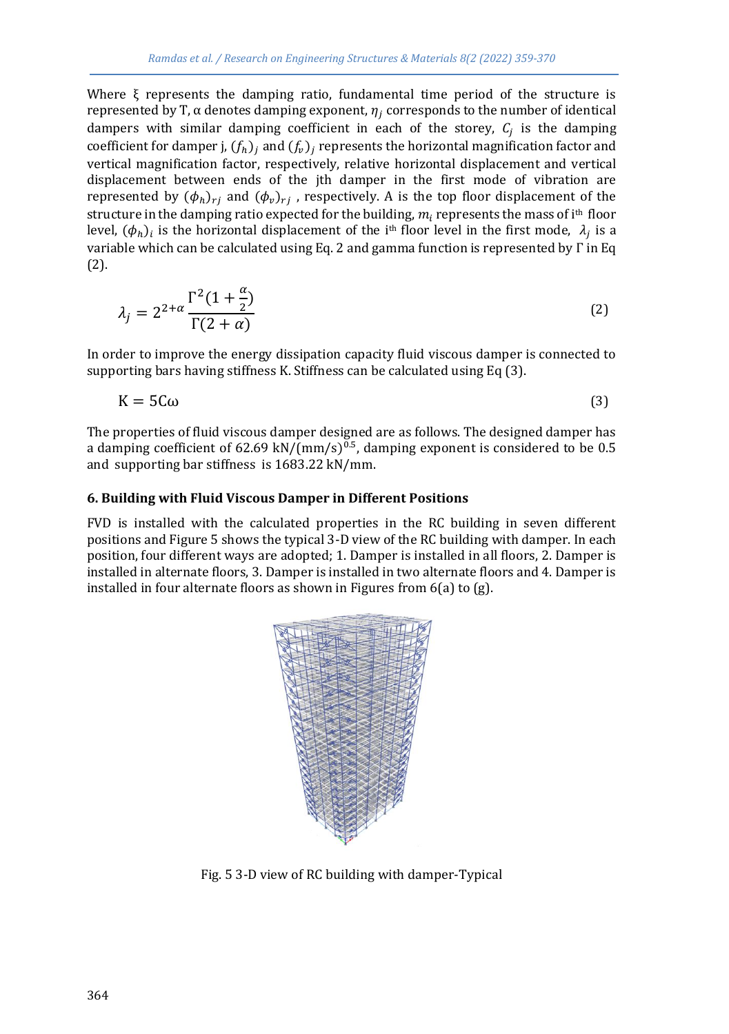Where ξ represents the damping ratio, fundamental time period of the structure is represented by T,  $\alpha$  denotes damping exponent,  $\eta_i$  corresponds to the number of identical dampers with similar damping coefficient in each of the storey,  $C_j$  is the damping coefficient for damper j,  $(f_h)_i$  and  $(f_v)_i$  represents the horizontal magnification factor and vertical magnification factor, respectively, relative horizontal displacement and vertical displacement between ends of the jth damper in the first mode of vibration are represented by  $(\phi_h)_{ri}$  and  $(\phi_v)_{ri}$ , respectively. A is the top floor displacement of the structure in the damping ratio expected for the building,  $m_i$  represents the mass of i<sup>th</sup> floor level,  $(\phi_h)_i$  is the horizontal displacement of the i<sup>th</sup> floor level in the first mode,  $\,\lambda_j$  is a variable which can be calculated using Eq. 2 and gamma function is represented by Γ in Eq (2).

$$
\lambda_j = 2^{2+\alpha} \frac{\Gamma^2 (1+\frac{\alpha}{2})}{\Gamma(2+\alpha)}
$$
\n(2)

In order to improve the energy dissipation capacity fluid viscous damper is connected to supporting bars having stiffness K. Stiffness can be calculated using Eq (3).

$$
K = 5C\omega
$$
 (3)

The properties of fluid viscous damper designed are as follows. The designed damper has a damping coefficient of 62.69 kN/(mm/s)<sup>0.5</sup>, damping exponent is considered to be 0.5 and supporting bar stiffness is 1683.22 kN/mm.

#### **6. Building with Fluid Viscous Damper in Different Positions**

FVD is installed with the calculated properties in the RC building in seven different positions and Figure 5 shows the typical 3-D view of the RC building with damper. In each position, four different ways are adopted; 1. Damper is installed in all floors, 2. Damper is installed in alternate floors, 3. Damper is installed in two alternate floors and 4. Damper is installed in four alternate floors as shown in Figures from 6(a) to (g).



Fig. 5 3-D view of RC building with damper-Typical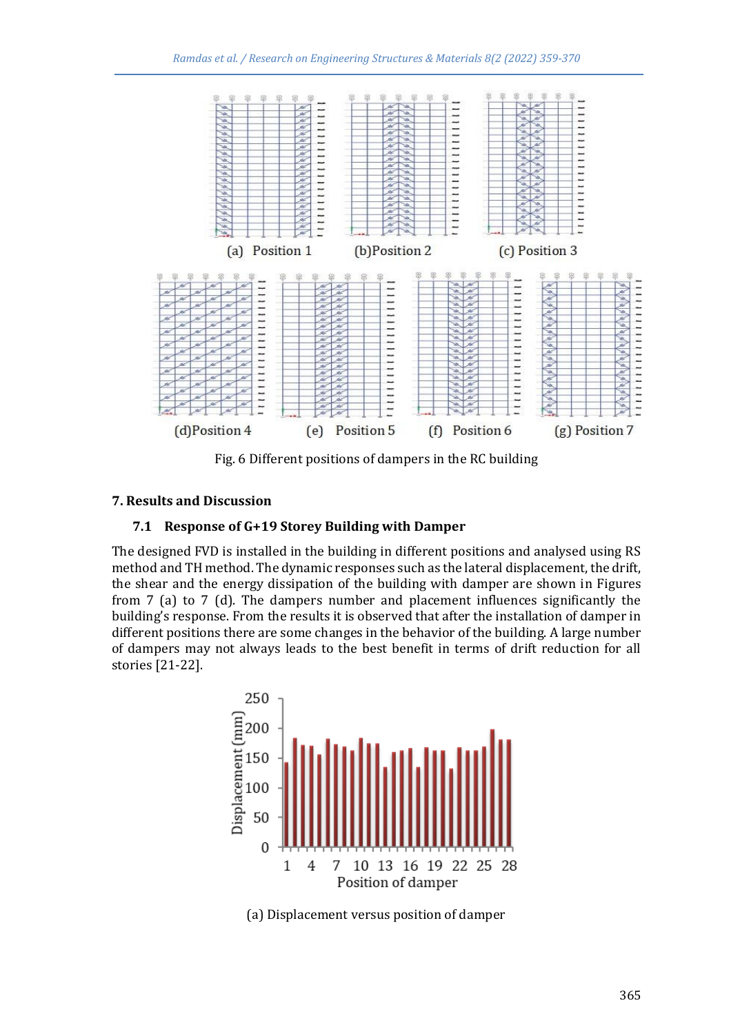

Fig. 6 Different positions of dampers in the RC building

## **7. Results and Discussion**

## **7.1 Response of G+19 Storey Building with Damper**

The designed FVD is installed in the building in different positions and analysed using RS method and TH method. The dynamic responses such as the lateral displacement, the drift, the shear and the energy dissipation of the building with damper are shown in Figures from 7 (a) to 7 (d). The dampers number and placement influences significantly the building's response. From the results it is observed that after the installation of damper in different positions there are some changes in the behavior of the building. A large number of dampers may not always leads to the best benefit in terms of drift reduction for all stories [21-22].



(a) Displacement versus position of damper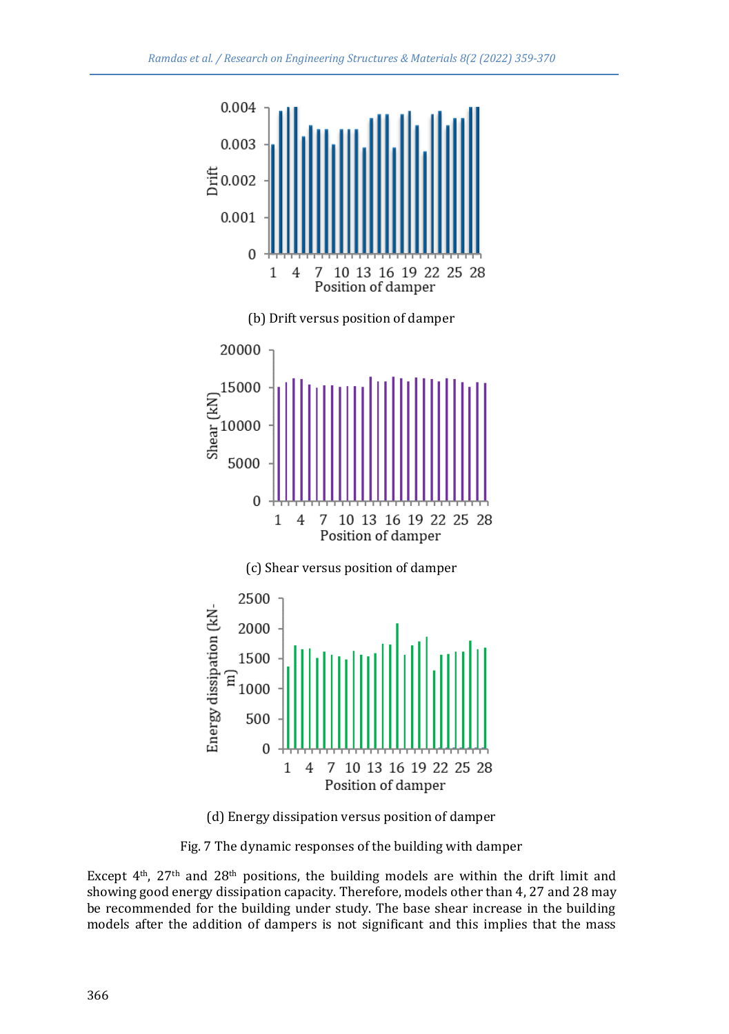

(d) Energy dissipation versus position of damper

Fig. 7 The dynamic responses of the building with damper

Except  $4<sup>th</sup>$ , 27<sup>th</sup> and 28<sup>th</sup> positions, the building models are within the drift limit and showing good energy dissipation capacity. Therefore, models other than 4, 27 and 28 may be recommended for the building under study. The base shear increase in the building models after the addition of dampers is not significant and this implies that the mass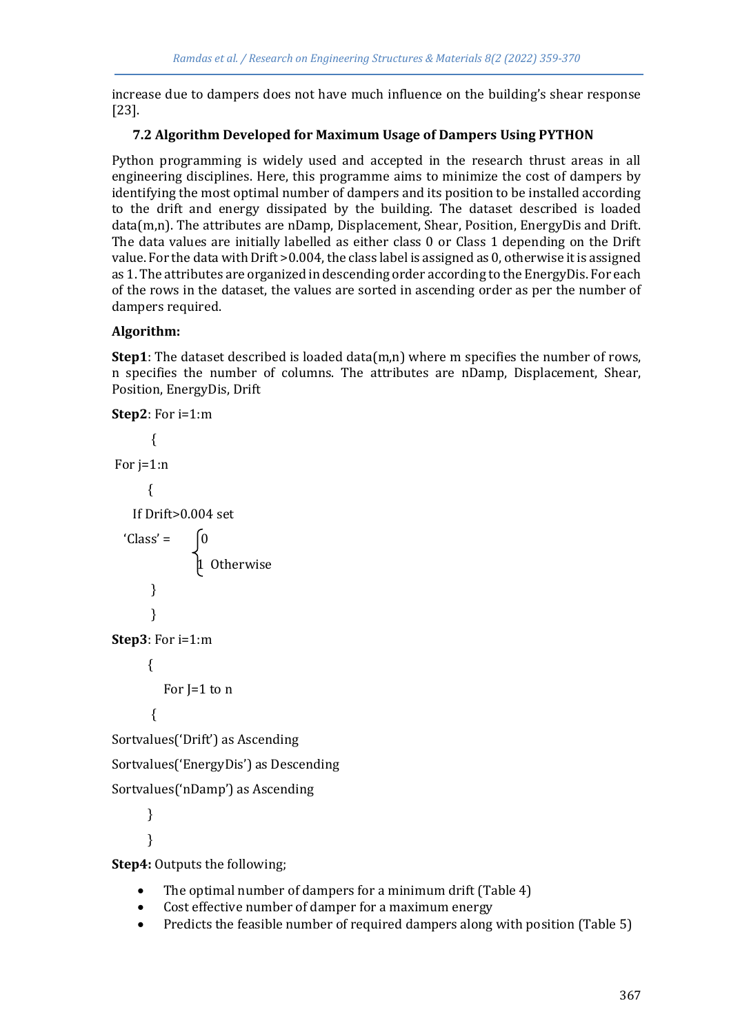increase due to dampers does not have much influence on the building's shear response [23].

## **7.2 Algorithm Developed for Maximum Usage of Dampers Using PYTHON**

Python programming is widely used and accepted in the research thrust areas in all engineering disciplines. Here, this programme aims to minimize the cost of dampers by identifying the most optimal number of dampers and its position to be installed according to the drift and energy dissipated by the building. The dataset described is loaded data(m,n). The attributes are nDamp, Displacement, Shear, Position, EnergyDis and Drift. The data values are initially labelled as either class 0 or Class 1 depending on the Drift value. For the data with Drift >0.004, the class label is assigned as 0, otherwise it is assigned as 1. The attributes are organized in descending order according to the EnergyDis. For each of the rows in the dataset, the values are sorted in ascending order as per the number of dampers required.

## **Algorithm:**

**Step1**: The dataset described is loaded data(m,n) where m specifies the number of rows, n specifies the number of columns. The attributes are nDamp, Displacement, Shear, Position, EnergyDis, Drift

```
Step2: For i=1:m
        {
For j=1:n
       { 
    If Drift>0.004 set 
  'Class' = 1 Otherwise
        } 
        }
Step3: For i=1:m
       { 
         For I=1 to n
        {
Sortvalues('Drift') as Ascending
Sortvalues('EnergyDis') as Descending
Sortvalues('nDamp') as Ascending
       }
       }
```
**Step4:** Outputs the following;

- The optimal number of dampers for a minimum drift (Table 4)
- Cost effective number of damper for a maximum energy
- Predicts the feasible number of required dampers along with position (Table 5)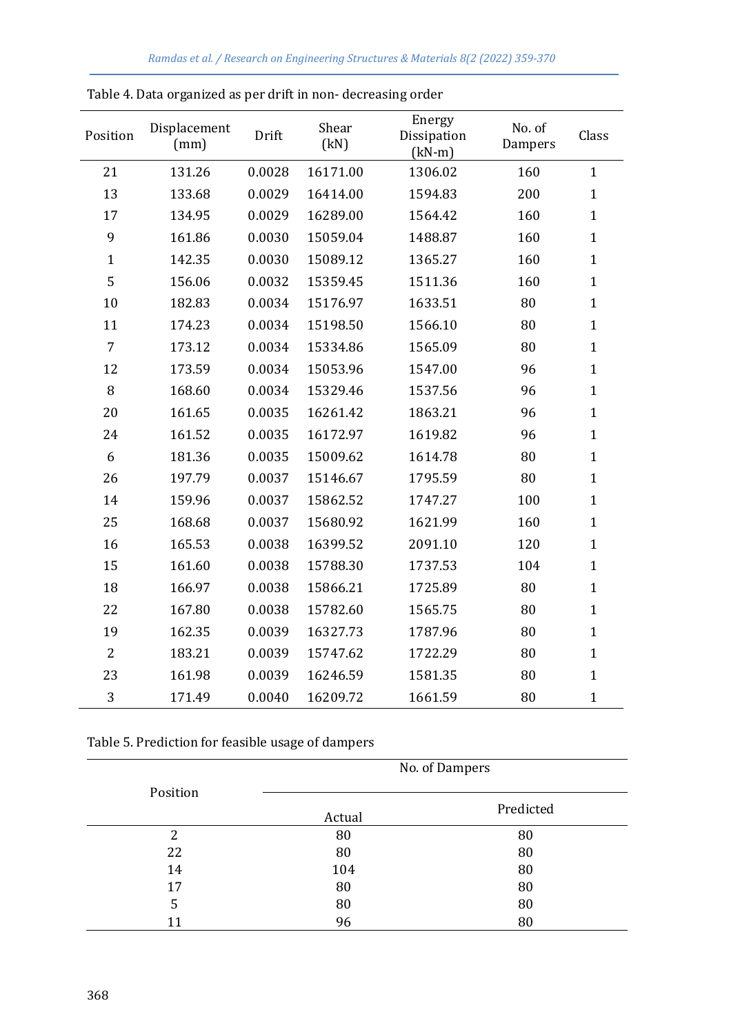| Position       | Displacement<br>(mm) | Drift  | Shear<br>(kN) | Energy<br>Dissipation<br>$(kN-m)$ | No. of<br>Dampers | Class        |
|----------------|----------------------|--------|---------------|-----------------------------------|-------------------|--------------|
| 21             | 131.26               | 0.0028 | 16171.00      | 1306.02                           | 160               | $\mathbf{1}$ |
| 13             | 133.68               | 0.0029 | 16414.00      | 1594.83                           | 200               | $\mathbf{1}$ |
| 17             | 134.95               | 0.0029 | 16289.00      | 1564.42                           | 160               | $\mathbf{1}$ |
| 9              | 161.86               | 0.0030 | 15059.04      | 1488.87                           | 160               | $\mathbf{1}$ |
| $\mathbf{1}$   | 142.35               | 0.0030 | 15089.12      | 1365.27                           | 160               | $\mathbf{1}$ |
| 5              | 156.06               | 0.0032 | 15359.45      | 1511.36                           | 160               | $\mathbf{1}$ |
| 10             | 182.83               | 0.0034 | 15176.97      | 1633.51                           | 80                | $\mathbf{1}$ |
| 11             | 174.23               | 0.0034 | 15198.50      | 1566.10                           | 80                | $\mathbf{1}$ |
| $\overline{7}$ | 173.12               | 0.0034 | 15334.86      | 1565.09                           | 80                | $\mathbf{1}$ |
| 12             | 173.59               | 0.0034 | 15053.96      | 1547.00                           | 96                | $\mathbf{1}$ |
| 8              | 168.60               | 0.0034 | 15329.46      | 1537.56                           | 96                | $\mathbf{1}$ |
| 20             | 161.65               | 0.0035 | 16261.42      | 1863.21                           | 96                | $\mathbf{1}$ |
| 24             | 161.52               | 0.0035 | 16172.97      | 1619.82                           | 96                | $\mathbf{1}$ |
| 6              | 181.36               | 0.0035 | 15009.62      | 1614.78                           | 80                | $\mathbf{1}$ |
| 26             | 197.79               | 0.0037 | 15146.67      | 1795.59                           | 80                | $\mathbf{1}$ |
| 14             | 159.96               | 0.0037 | 15862.52      | 1747.27                           | 100               | $\mathbf{1}$ |
| 25             | 168.68               | 0.0037 | 15680.92      | 1621.99                           | 160               | $\mathbf{1}$ |
| 16             | 165.53               | 0.0038 | 16399.52      | 2091.10                           | 120               | $\mathbf{1}$ |
| 15             | 161.60               | 0.0038 | 15788.30      | 1737.53                           | 104               | $\mathbf{1}$ |
| 18             | 166.97               | 0.0038 | 15866.21      | 1725.89                           | 80                | $\mathbf{1}$ |
| 22             | 167.80               | 0.0038 | 15782.60      | 1565.75                           | 80                | $\mathbf{1}$ |
| 19             | 162.35               | 0.0039 | 16327.73      | 1787.96                           | 80                | $\mathbf{1}$ |
| $\overline{2}$ | 183.21               | 0.0039 | 15747.62      | 1722.29                           | 80                | $\mathbf{1}$ |
| 23             | 161.98               | 0.0039 | 16246.59      | 1581.35                           | 80                | $\mathbf{1}$ |
| 3              | 171.49               | 0.0040 | 16209.72      | 1661.59                           | 80                | $\mathbf{1}$ |

Table 5. Prediction for feasible usage of dampers

|          | No. of Dampers |           |  |
|----------|----------------|-----------|--|
| Position | Actual         | Predicted |  |
| 2        | 80             | 80        |  |
| 22       | 80             | 80        |  |
| 14       | 104            | 80        |  |
| 17       | 80             | 80        |  |
| 5        | 80             | 80        |  |
| 11       | 96             | 80        |  |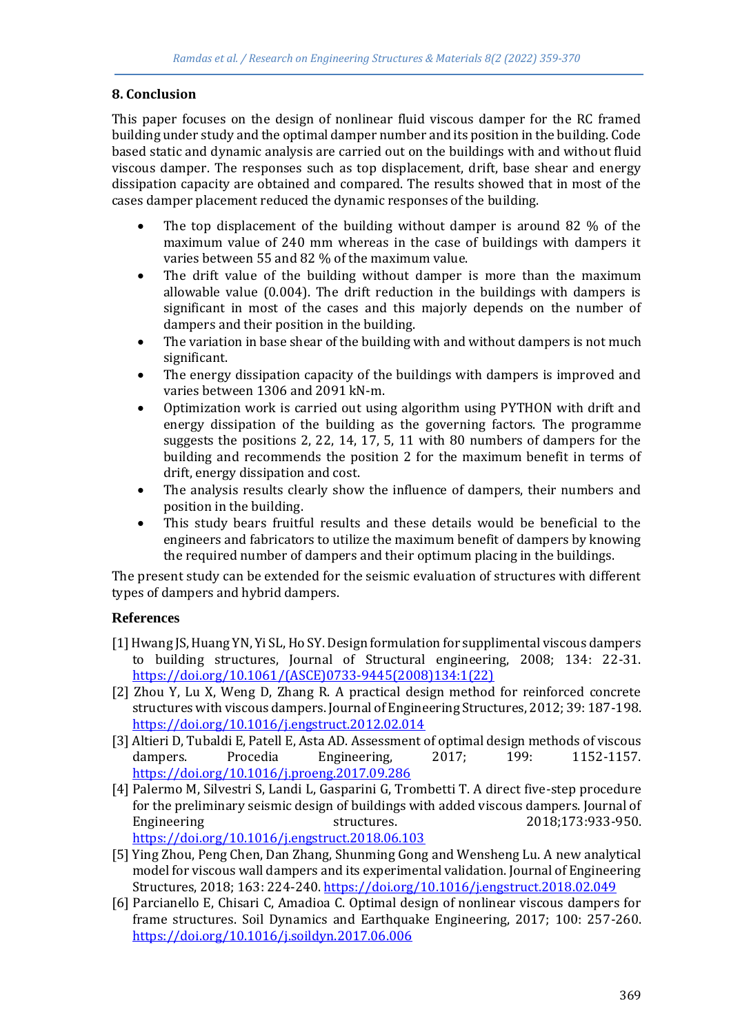## **8. Conclusion**

This paper focuses on the design of nonlinear fluid viscous damper for the RC framed building under study and the optimal damper number and its position in the building. Code based static and dynamic analysis are carried out on the buildings with and without fluid viscous damper. The responses such as top displacement, drift, base shear and energy dissipation capacity are obtained and compared. The results showed that in most of the cases damper placement reduced the dynamic responses of the building.

- The top displacement of the building without damper is around 82 % of the maximum value of 240 mm whereas in the case of buildings with dampers it varies between 55 and 82 % of the maximum value.
- The drift value of the building without damper is more than the maximum allowable value (0.004). The drift reduction in the buildings with dampers is significant in most of the cases and this majorly depends on the number of dampers and their position in the building.
- The variation in base shear of the building with and without dampers is not much significant.
- The energy dissipation capacity of the buildings with dampers is improved and varies between 1306 and 2091 kN-m.
- Optimization work is carried out using algorithm using PYTHON with drift and energy dissipation of the building as the governing factors. The programme suggests the positions 2, 22, 14, 17, 5, 11 with 80 numbers of dampers for the building and recommends the position 2 for the maximum benefit in terms of drift, energy dissipation and cost.
- The analysis results clearly show the influence of dampers, their numbers and position in the building.
- This study bears fruitful results and these details would be beneficial to the engineers and fabricators to utilize the maximum benefit of dampers by knowing the required number of dampers and their optimum placing in the buildings.

The present study can be extended for the seismic evaluation of structures with different types of dampers and hybrid dampers.

## **References**

- [1] Hwang JS, Huang YN, Yi SL, Ho SY. Design formulation for supplimental viscous dampers to building structures, Journal of Structural engineering, 2008; 134: 22-31. [https://doi.org/10.1061/\(ASCE\)0733-9445\(2008\)134:1\(22\)](https://doi.org/10.1061/(ASCE)0733-9445(2008)134:1(22))
- [2] Zhou Y, Lu X, Weng D, Zhang R. A practical design method for reinforced concrete structures with viscous dampers. Journal of Engineering Structures, 2012; 39: 187-198. <https://doi.org/10.1016/j.engstruct.2012.02.014>
- [3] Altieri D, Tubaldi E, Patell E, Asta AD. Assessment of optimal design methods of viscous dampers. Procedia Engineering, 2017; 199: 1152-1157. <https://doi.org/10.1016/j.proeng.2017.09.286>
- [4] Palermo M, Silvestri S, Landi L, Gasparini G, Trombetti T. A direct five-step procedure for the preliminary seismic design of buildings with added viscous dampers. Journal of Engineering structures. 2018;173:933-950. <https://doi.org/10.1016/j.engstruct.2018.06.103>
- [5] Ying Zhou, Peng Chen, Dan Zhang, Shunming Gong and Wensheng Lu. A new analytical model for viscous wall dampers and its experimental validation. Journal of Engineering Structures, 2018; 163: 224-240.<https://doi.org/10.1016/j.engstruct.2018.02.049>
- [6] Parcianello E, Chisari C, Amadioa C. Optimal design of nonlinear viscous dampers for frame structures. Soil Dynamics and Earthquake Engineering, 2017; 100: 257-260. <https://doi.org/10.1016/j.soildyn.2017.06.006>